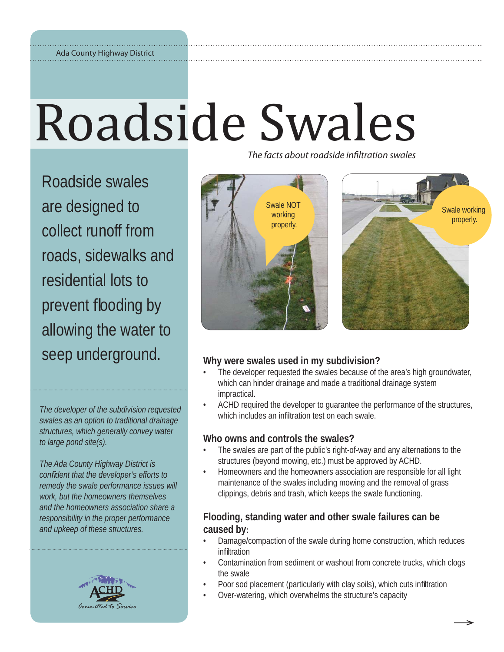### Ada County Highway District

# Roadside Swales

Roadside swales are designed to collect runoff from roads, sidewalks and residential lots to prevent flooding by allowing the water to seep underground. **Why were swales used in my subdivision?**

*The developer of the subdivision requested swales as an option to traditional drainage structures, which generally convey water to large pond site(s).*

*The Ada County Highway District is confi dent that the developer's efforts to remedy the swale performance issues will work, but the homeowners themselves and the homeowners association share a responsibility in the proper performance and upkeep of these structures.*



The facts about roadside infiltration swales



- The developer requested the swales because of the area's high groundwater, which can hinder drainage and made a traditional drainage system impractical.
- ACHD required the developer to guarantee the performance of the structures, which includes an infiltration test on each swale.

### **Who owns and controls the swales?**

- The swales are part of the public's right-of-way and any alternations to the structures (beyond mowing, etc.) must be approved by ACHD.
- Homeowners and the homeowners association are responsible for all light maintenance of the swales including mowing and the removal of grass clippings, debris and trash, which keeps the swale functioning.

## **Flooding, standing water and other swale failures can be caused by:**

- Damage/compaction of the swale during home construction, which reduces infiltration
- Contamination from sediment or washout from concrete trucks, which clogs the swale
- Poor sod placement (particularly with clay soils), which cuts infiltration
- Over-watering, which overwhelms the structure's capacity